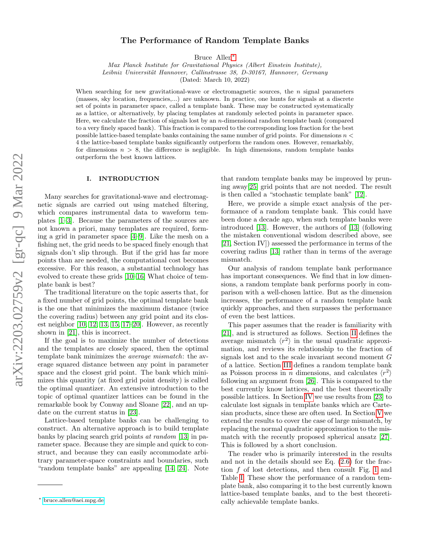# The Performance of Random Template Banks

Bruce Allen[∗](#page-0-0)

Max Planck Institute for Gravitational Physics (Albert Einstein Institute), Leibniz Universität Hannover, Callinstrasse 38, D-30167, Hannover, Germany

(Dated: March 10, 2022)

When searching for new gravitational-wave or electromagnetic sources, the  $n$  signal parameters (masses, sky location, frequencies,...) are unknown. In practice, one hunts for signals at a discrete set of points in parameter space, called a template bank. These may be constructed systematically as a lattice, or alternatively, by placing templates at randomly selected points in parameter space. Here, we calculate the fraction of signals lost by an *n*-dimensional random template bank (compared to a very finely spaced bank). This fraction is compared to the corresponding loss fraction for the best possible lattice-based template banks containing the same number of grid points. For dimensions  $n <$ 4 the lattice-based template banks significantly outperform the random ones. However, remarkably, for dimensions  $n > 8$ , the difference is negligible. In high dimensions, random template banks outperform the best known lattices.

### I. INTRODUCTION

Many searches for gravitational-wave and electromagnetic signals are carried out using matched filtering, which compares instrumental data to waveform templates [\[1](#page-5-0)[–3\]](#page-5-1). Because the parameters of the sources are not known a priori, many templates are required, forming a grid in parameter space [\[4](#page-5-2)[–9\]](#page-5-3). Like the mesh on a fishing net, the grid needs to be spaced finely enough that signals don't slip through. But if the grid has far more points than are needed, the computational cost becomes excessive. For this reason, a substantial technology has evolved to create these grids [\[10](#page-5-4)[–16\]](#page-5-5) What choice of template bank is best?

The traditional literature on the topic asserts that, for a fixed number of grid points, the optimal template bank is the one that minimizes the maximum distance (twice the covering radius) between any grid point and its closest neighbor  $[10, 12, 13, 15, 17–20]$  $[10, 12, 13, 15, 17–20]$  $[10, 12, 13, 15, 17–20]$  $[10, 12, 13, 15, 17–20]$  $[10, 12, 13, 15, 17–20]$  $[10, 12, 13, 15, 17–20]$ . However, as recently shown in [\[21\]](#page-5-11), this is incorrect.

If the goal is to maximize the number of detections and the templates are closely spaced, then the optimal template bank minimizes the average mismatch: the average squared distance between any point in parameter space and the closest grid point. The bank which minimizes this quantity (at fixed grid point density) is called the optimal quantizer. An extensive introduction to the topic of optimal quantizer lattices can be found in the remarkable book by Conway and Sloane [\[22\]](#page-5-12), and an update on the current status in [\[23\]](#page-5-13).

Lattice-based template banks can be challenging to construct. An alternative approach is to build template banks by placing search grid points at random [\[13\]](#page-5-7) in parameter space. Because they are simple and quick to construct, and because they can easily accommodate arbitrary parameter-space constraints and boundaries, such "random template banks" are appealing [\[14,](#page-5-14) [24\]](#page-5-15). Note

that random template banks may be improved by pruning away[\[25\]](#page-5-16) grid points that are not needed. The result is then called a "stochastic template bank" [\[12\]](#page-5-6).

Here, we provide a simple exact analysis of the performance of a random template bank. This could have been done a decade ago, when such template banks were introduced [\[13\]](#page-5-7). However, the authors of [\[13\]](#page-5-7) (following the mistaken conventional wisdom described above, see [\[21,](#page-5-11) Section IV]) assessed the performance in terms of the covering radius [\[13\]](#page-5-7) rather than in terms of the average mismatch.

Our analysis of random template bank performance has important consequences. We find that in low dimensions, a random template bank performs poorly in comparison with a well-chosen lattice. But as the dimension increases, the performance of a random template bank quickly approaches, and then surpasses the performance of even the best lattices.

This paper assumes that the reader is familiarity with [\[21\]](#page-5-11), and is structured as follows. Section [II](#page-1-0) defines the average mismatch  $\langle r^2 \rangle$  in the usual quadratic approximation, and reviews its relationship to the fraction of signals lost and to the scale invariant second moment G of a lattice. Section [III](#page-1-1) defines a random template bank as Poisson process in *n* dimensions, and calculates  $\langle r^2 \rangle$ following an argument from [\[26\]](#page-5-17). This is compared to the best currently know lattices, and the best theoretically possible lattices. In Section [IV](#page-3-0) we use results from [\[23\]](#page-5-13) to calculate lost signals in template banks which are Cartesian products, since these are often used. In Section [V](#page-3-1) we extend the results to cover the case of large mismatch, by replacing the normal quadratic approximation to the mismatch with the recently proposed spherical ansatz [\[27\]](#page-6-0). This is followed by a short conclusion.

The reader who is primarily interested in the results and not in the details should see Eq. [\(2.6\)](#page-1-2) for the fraction f of lost detections, and then consult Fig. [1](#page-2-0) and Table [I.](#page-3-2) These show the performance of a random template bank, also comparing it to the best currently known lattice-based template banks, and to the best theoretically achievable template banks.

<span id="page-0-0"></span><sup>∗</sup> [bruce.allen@aei.mpg.de](mailto:bruce.allen@aei.mpg.de)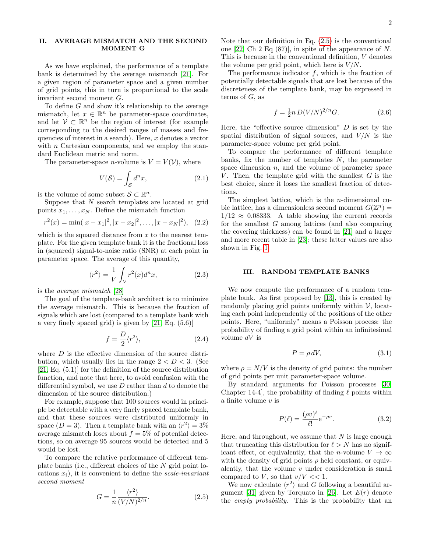## <span id="page-1-0"></span>II. AVERAGE MISMATCH AND THE SECOND MOMENT G

As we have explained, the performance of a template bank is determined by the average mismatch [\[21\]](#page-5-11). For a given region of parameter space and a given number of grid points, this in turn is proportional to the scale invariant second moment G.

To define G and show it's relationship to the average mismatch, let  $x \in \mathbb{R}^n$  be parameter-space coordinates, and let  $V \subset \mathbb{R}^n$  be the region of interest (for example corresponding to the desired ranges of masses and frequencies of interest in a search). Here,  $x$  denotes a vector with  $n$  Cartesian components, and we employ the standard Euclidean metric and norm.

The parameter-space *n*-volume is  $V = V(V)$ , where

$$
V(\mathcal{S}) = \int_{\mathcal{S}} d^n x,\tag{2.1}
$$

is the volume of some subset  $\mathcal{S} \subset \mathbb{R}^n$ .

Suppose that N search templates are located at grid points  $x_1, \ldots, x_N$ . Define the mismatch function

$$
r^{2}(x) = \min(|x - x_{1}|^{2}, |x - x_{2}|^{2}, \dots, |x - x_{N}|^{2}), \quad (2.2)
$$

which is the squared distance from  $x$  to the nearest template. For the given template bank it is the fractional loss in (squared) signal-to-noise ratio (SNR) at each point in parameter space. The average of this quantity,

$$
\langle r^2 \rangle = \frac{1}{V} \int_{V} r^2(x) d^n x,\tag{2.3}
$$

is the average mismatch [\[28\]](#page-6-1)

The goal of the template-bank architect is to minimize the average mismatch. This is because the fraction of signals which are lost (compared to a template bank with a very finely spaced grid) is given by [\[21,](#page-5-11) Eq. (5.6)]

<span id="page-1-5"></span>
$$
f = \frac{D}{2} \langle r^2 \rangle, \tag{2.4}
$$

where  $D$  is the effective dimension of the source distribution, which usually lies in the range  $2 < D < 3$ . (See [\[21,](#page-5-11) Eq. (5.1)] for the definition of the source distribution function, and note that here, to avoid confusion with the differential symbol, we use  $D$  rather than  $d$  to denote the dimension of the source distribution.)

For example, suppose that 100 sources would in principle be detectable with a very finely spaced template bank, and that these sources were distributed uniformly in space  $(D = 3)$ . Then a template bank with an  $\langle r^2 \rangle = 3\%$ average mismatch loses about  $f = 5\%$  of potential detections, so on average 95 sources would be detected and 5 would be lost.

To compare the relative performance of different template banks (i.e., different choices of the N grid point locations  $x_i$ ), it is convenient to define the scale-invariant second moment

<span id="page-1-3"></span>
$$
G = \frac{1}{n} \frac{\langle r^2 \rangle}{(V/N)^{2/n}}.
$$
\n(2.5)

Note that our definition in Eq.  $(2.5)$  is the conventional one [\[22,](#page-5-12) Ch 2 Eq (87)], in spite of the appearance of N. This is because in the conventional definition, V denotes the volume per grid point, which here is  $V/N$ .

The performance indicator  $f$ , which is the fraction of potentially detectable signals that are lost because of the discreteness of the template bank, may be expressed in terms of  $G$ , as

<span id="page-1-2"></span>
$$
f = \frac{1}{2}n \, D(V/N)^{2/n} G. \tag{2.6}
$$

Here, the "effective source dimension"  $D$  is set by the spatial distribution of signal sources, and  $V/N$  is the parameter-space volume per grid point.

To compare the performance of different template banks, fix the number of templates  $N$ , the parameter space dimension  $n$ , and the volume of parameter space V. Then, the template grid with the smallest  $G$  is the best choice, since it loses the smallest fraction of detections.

The simplest lattice, which is the *n*-dimensional cubic lattice, has a dimensionless second moment  $G(\mathbb{Z}^n)$  =  $1/12 \approx 0.08333$ . A table showing the current records for the smallest G among lattices (and also comparing the covering thickness) can be found in [\[21\]](#page-5-11) and a larger and more recent table in [\[23\]](#page-5-13); these latter values are also shown in Fig. [1.](#page-2-0)

#### <span id="page-1-1"></span>III. RANDOM TEMPLATE BANKS

We now compute the performance of a random template bank. As first proposed by [\[13\]](#page-5-7), this is created by randomly placing grid points uniformly within  $\mathcal{V}$ , locating each point independently of the positions of the other points. Here, "uniformly" means a Poisson process: the probability of finding a grid point within an infinitesimal volume  $dV$  is

$$
P = \rho \, dV,\tag{3.1}
$$

where  $\rho = N/V$  is the density of grid points: the number of grid points per unit parameter-space volume.

By standard arguments for Poisson processes [\[30,](#page-6-2) Chapter 14-4, the probability of finding  $\ell$  points within a finite volume  $v$  is

<span id="page-1-4"></span>
$$
P(\ell) = \frac{(\rho v)^{\ell}}{\ell!} e^{-\rho v}.
$$
\n(3.2)

Here, and throughout, we assume that  $N$  is large enough that truncating this distribution for  $\ell > N$  has no significant effect, or equivalently, that the *n*-volume  $V \to \infty$ with the density of grid points  $\rho$  held constant, or equivalently, that the volume  $v$  under consideration is small compared to V, so that  $v/V \ll 1$ .

We now calculate  $\langle r^2 \rangle$  and G following a beautiful ar-gument [\[31\]](#page-6-3) given by Torquato in [\[26\]](#page-5-17). Let  $E(r)$  denote the empty probability. This is the probability that an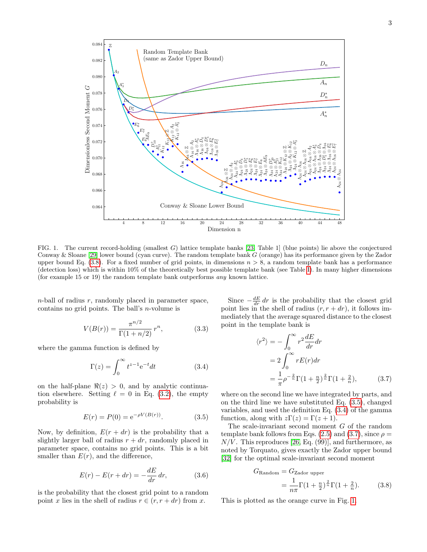

<span id="page-2-0"></span>FIG. 1. The current record-holding (smallest G) lattice template banks [\[23,](#page-5-13) Table 1] (blue points) lie above the conjectured Conway & Sloane [\[29\]](#page-6-4) lower bound (cyan curve). The random template bank G (orange) has its performance given by the Zador upper bound Eq.  $(3.8)$ . For a fixed number of grid points, in dimensions  $n > 8$ , a random template bank has a performance (detection loss) which is within 10% of the theoretically best possible template bank (see Table [I\)](#page-3-2). In many higher dimensions (for example 15 or 19) the random template bank outperforms any known lattice.

 $n$ -ball of radius  $r$ , randomly placed in parameter space, contains no grid points. The ball's n-volume is

$$
V(B(r)) = \frac{\pi^{n/2}}{\Gamma(1+n/2)} r^n,
$$
\n(3.3)

where the gamma function is defined by

<span id="page-2-3"></span>
$$
\Gamma(z) = \int_0^\infty t^{z-1} e^{-t} dt \tag{3.4}
$$

on the half-plane  $\Re(z) > 0$ , and by analytic continuation elsewhere. Setting  $\ell = 0$  in Eq. [\(3.2\)](#page-1-4), the empty probability is

<span id="page-2-2"></span>
$$
E(r) = P(0) = e^{-\rho V(B(r))}.
$$
 (3.5)

Now, by definition,  $E(r + dr)$  is the probability that a slightly larger ball of radius  $r + dr$ , randomly placed in parameter space, contains no grid points. This is a bit smaller than  $E(r)$ , and the difference,

$$
E(r) - E(r + dr) = -\frac{dE}{dr} dr,\t\t(3.6)
$$

is the probability that the closest grid point to a random point x lies in the shell of radius  $r \in (r, r + dr)$  from x.

Since  $-\frac{dE}{dr} dr$  is the probability that the closest grid point lies in the shell of radius  $(r, r + dr)$ , it follows immediately that the average squared distance to the closest point in the template bank is

<span id="page-2-4"></span>
$$
\langle r^2 \rangle = -\int_0^\infty r^2 \frac{dE}{dr} dr
$$
  
=  $2 \int_0^\infty r E(r) dr$   
=  $\frac{1}{\pi} \rho^{-\frac{2}{n}} \Gamma(1 + \frac{n}{2})^{\frac{2}{n}} \Gamma(1 + \frac{2}{n}),$  (3.7)

where on the second line we have integrated by parts, and on the third line we have substituted Eq. [\(3.5\)](#page-2-2), changed variables, and used the definition Eq. [\(3.4\)](#page-2-3) of the gamma function, along with  $z\Gamma(z) = \Gamma(z+1)$ .

The scale-invariant second moment G of the random template bank follows from Eqs. [\(2.5\)](#page-1-3) and [\(3.7\)](#page-2-4), since  $\rho =$  $N/V$ . This reproduces [\[26,](#page-5-17) Eq. (99)], and furthermore, as noted by Torquato, gives exactly the Zador upper bound [\[32\]](#page-6-5) for the optimal scale-invariant second moment

<span id="page-2-1"></span>
$$
G_{\text{Random}} = G_{\text{Zador upper}}
$$
  
= 
$$
\frac{1}{n\pi} \Gamma(1 + \frac{n}{2})^{\frac{2}{n}} \Gamma(1 + \frac{2}{n}).
$$
 (3.8)

This is plotted as the orange curve in Fig. [1.](#page-2-0)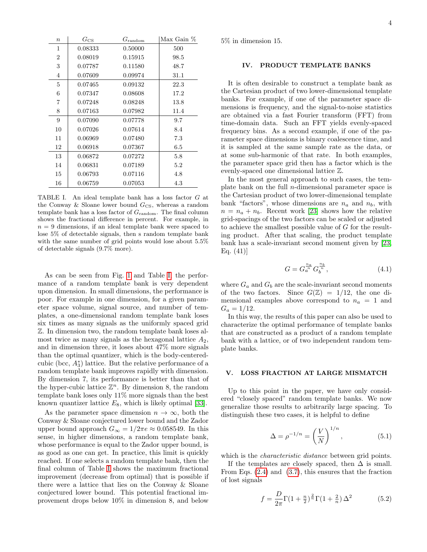| $\boldsymbol{n}$ | $G_{\rm CS}$ | $G_{\rm random}$ | $Max$ Gain $%$ |
|------------------|--------------|------------------|----------------|
| $\mathbf{1}$     | 0.08333      | 0.50000          | 500            |
| $\overline{2}$   | 0.08019      | 0.15915          | 98.5           |
| 3                | 0.07787      | 0.11580          | 48.7           |
| 4                | 0.07609      | 0.09974          | 31.1           |
| 5                | 0.07465      | 0.09132          | 22.3           |
| 6                | 0.07347      | 0.08608          | 17.2           |
| 7                | 0.07248      | 0.08248          | 13.8           |
| 8                | 0.07163      | 0.07982          | 11.4           |
| 9                | 0.07090      | 0.07778          | 9.7            |
| 10               | 0.07026      | 0.07614          | 8.4            |
| 11               | 0.06969      | 0.07480          | 7.3            |
| 12               | 0.06918      | 0.07367          | 6.5            |
| 13               | 0.06872      | 0.07272          | 5.8            |
| 14               | 0.06831      | 0.07189          | 5.2            |
| 15               | 0.06793      | 0.07116          | 4.8            |
| 16               | 0.06759      | 0.07053          | 4.3            |

<span id="page-3-2"></span>TABLE I. An ideal template bank has a loss factor G at the Conway  $&$  Sloane lower bound  $G_{\text{CS}}$ , whereas a random template bank has a loss factor of  $G_{\text{random}}$ . The final column shows the fractional difference in percent. For example, in  $n = 9$  dimensions, if an ideal template bank were spaced to lose 5% of detectable signals, then s random template bank with the same number of grid points would lose about 5.5% of detectable signals (9.7% more).

As can be seen from Fig. [1](#page-2-0) and Table [I,](#page-3-2) the performance of a random template bank is very dependent upon dimension. In small dimensions, the performance is poor. For example in one dimension, for a given parameter space volume, signal source, and number of templates, a one-dimensional random template bank loses six times as many signals as the uniformly spaced grid Z. In dimension two, the random template bank loses almost twice as many signals as the hexagonal lattice  $A_2$ , and in dimension three, it loses about 47% more signals than the optimal quantizer, which is the body-centeredcubic (bcc,  $A_3^*$ ) lattice. But the relative performance of a random template bank improves rapidly with dimension. By dimension 7, its performance is better than that of the hyper-cubic lattice  $\mathbb{Z}^n$ . By dimension 8, the random template bank loses only 11% more signals than the best known quantizer lattice  $E_8$ , which is likely optimal [\[33\]](#page-6-6).

As the parameter space dimension  $n \to \infty$ , both the Conway & Sloane conjectured lower bound and the Zador upper bound approach  $G_{\infty} = 1/2\pi e \approx 0.058549$ . In this sense, in higher dimensions, a random template bank, whose performance is equal to the Zador upper bound, is as good as one can get. In practice, this limit is quickly reached. If one selects a random template bank, then the final column of Table [I](#page-3-2) shows the maximum fractional improvement (decrease from optimal) that is possible if there were a lattice that lies on the Conway & Sloane conjectured lower bound. This potential fractional improvement drops below 10% in dimension 8, and below

5% in dimension 15.

## <span id="page-3-0"></span>IV. PRODUCT TEMPLATE BANKS

It is often desirable to construct a template bank as the Cartesian product of two lower-dimensional template banks. For example, if one of the parameter space dimensions is frequency, and the signal-to-noise statistics are obtained via a fast Fourier transform (FFT) from time-domain data. Such an FFT yields evenly-spaced frequency bins. As a second example, if one of the parameter space dimensions is binary coalescence time, and it is sampled at the same sample rate as the data, or at some sub-harmonic of that rate. In both examples, the parameter space grid then has a factor which is the evenly-spaced one dimensional lattice Z.

In the most general approach to such cases, the template bank on the full  $n$ -dimensional parameter space is the Cartesian product of two lower-dimensional template bank "factors", whose dimensions are  $n_a$  and  $n_b$ , with  $n = n_a + n_b$ . Recent work [\[23\]](#page-5-13) shows how the relative grid-spacings of the two factors can be scaled or adjusted to achieve the smallest possible value of G for the resulting product. After that scaling, the product template bank has a scale-invariant second moment given by [\[23,](#page-5-13) Eq.  $(41)$ ]

$$
G = G_a^{\frac{n_a}{n}} G_b^{\frac{n_b}{n}},
$$
\n(4.1)

where  $G_a$  and  $G_b$  are the scale-invariant second moments of the two factors. Since  $G(\mathbb{Z}) = 1/12$ , the one dimensional examples above correspond to  $n_a = 1$  and  $G_a = 1/12$ .

In this way, the results of this paper can also be used to characterize the optimal performance of template banks that are constructed as a product of a random template bank with a lattice, or of two independent random template banks.

#### <span id="page-3-1"></span>V. LOSS FRACTION AT LARGE MISMATCH

Up to this point in the paper, we have only considered "closely spaced" random template banks. We now generalize those results to arbitrarily large spacing. To distinguish these two cases, it is helpful to define

$$
\Delta = \rho^{-1/n} = \left(\frac{V}{N}\right)^{1/n},\tag{5.1}
$$

which is the *characteristic distance* between grid points.

If the templates are closely spaced, then  $\Delta$  is small. From Eqs. [\(2.4\)](#page-1-5) and [\(3.7\)](#page-2-4), this ensures that the fraction of lost signals

<span id="page-3-3"></span>
$$
f = \frac{D}{2\pi} \Gamma(1 + \frac{n}{2})^{\frac{2}{n}} \Gamma(1 + \frac{2}{n}) \Delta^2
$$
 (5.2)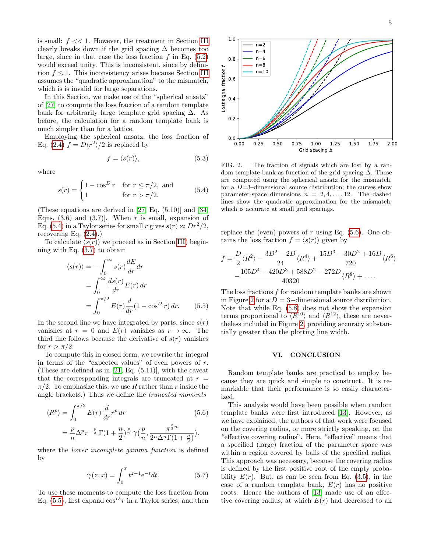is small:  $f \ll 1$ . However, the treatment in Section [III](#page-1-1) clearly breaks down if the grid spacing  $\Delta$  becomes too large, since in that case the loss fraction  $f$  in Eq. [\(5.2\)](#page-3-3) would exceed unity. This is inconsistent, since by definition  $f \leq 1$ . This inconsistency arises because Section [III](#page-1-1) assumes the "quadratic approximation" to the mismatch, which is is invalid for large separations.

In this Section, we make use of the "spherical ansatz" of [\[27\]](#page-6-0) to compute the loss fraction of a random template bank for arbitrarily large template grid spacing  $\Delta$ . As before, the calculation for a random template bank is much simpler than for a lattice.

Employing the spherical ansatz, the loss fraction of Eq. [\(2.4\)](#page-1-5)  $f = D\langle r^2 \rangle/2$  is replaced by

$$
f = \langle s(r) \rangle, \tag{5.3}
$$

where

<span id="page-4-0"></span>
$$
s(r) = \begin{cases} 1 - \cos^D r & \text{for } r \le \pi/2, \text{ and} \\ 1 & \text{for } r > \pi/2. \end{cases} \tag{5.4}
$$

(These equations are derived in [\[27,](#page-6-0) Eq. (5.10)] and [\[34,](#page-6-7) Eqns. (3.6) and (3.7). When r is small, expansion of Eq. [\(5.4\)](#page-4-0) in a Taylor series for small r gives  $s(r) \approx Dr^2/2$ , recovering Eq.  $(2.4)$ .)

To calculate  $\langle s(r) \rangle$  we proceed as in Section [III\)](#page-1-1) beginning with Eq. [\(3.7\)](#page-2-4) to obtain

<span id="page-4-1"></span>
$$
\langle s(r) \rangle = -\int_0^\infty s(r) \frac{dE}{dr} dr
$$
  
= 
$$
\int_0^\infty \frac{ds(r)}{dr} E(r) dr
$$
  
= 
$$
\int_0^{\pi/2} E(r) \frac{d}{dr} (1 - \cos^D r) dr.
$$
 (5.5)

In the second line we have integrated by parts, since  $s(r)$ vanishes at  $r = 0$  and  $E(r)$  vanishes as  $r \to \infty$ . The third line follows because the derivative of  $s(r)$  vanishes for  $r > \pi/2$ .

To compute this in closed form, we rewrite the integral in terms of the "expected values" of even powers of r. (These are defined as in [\[21,](#page-5-11) Eq. (5.11)], with the caveat that the corresponding integrals are truncated at  $r =$  $\pi/2$ . To emphasize this, we use R rather than r inside the angle brackets.) Thus we define the truncated moments

<span id="page-4-2"></span>
$$
\langle R^{p} \rangle = \int_{0}^{\pi/2} E(r) \frac{d}{dr} r^{p} dr
$$
\n
$$
= \frac{p}{n} \Delta^{p} \pi^{-\frac{p}{2}} \Gamma(1 + \frac{n}{2})^{\frac{p}{n}} \gamma(\frac{p}{n}, \frac{\pi^{\frac{3}{2}n}}{2^{n} \Delta^{n} \Gamma(1 + \frac{n}{2})}),
$$
\n(5.6)

where the *lower incomplete gamma function* is defined by

$$
\gamma(z, x) = \int_0^x t^{z-1} e^{-t} dt.
$$
 (5.7)

To use these moments to compute the loss fraction from Eq. [\(5.5\)](#page-4-1), first expand  $\cos^D r$  in a Taylor series, and then



<span id="page-4-3"></span>FIG. 2. The fraction of signals which are lost by a random template bank as function of the grid spacing  $\Delta$ . These are computed using the spherical ansatz for the mismatch, for a  $D=3$ -dimensional source distribution; the curves show parameter-space dimensions  $n = 2, 4, \ldots, 12$ . The dashed lines show the quadratic approximation for the mismatch, which is accurate at small grid spacings.

replace the (even) powers of  $r$  using Eq. [\(5.6\)](#page-4-2). One obtains the loss fraction  $f = \langle s(r) \rangle$  given by

<span id="page-4-4"></span>
$$
f = \frac{D}{2} \langle R^2 \rangle - \frac{3D^2 - 2D}{24} \langle R^4 \rangle + \frac{15D^3 - 30D^2 + 16D}{720} \langle R^6 \rangle
$$

$$
- \frac{105D^4 - 420D^3 + 588D^2 - 272D}{40320} \langle R^8 \rangle + \dots
$$

The loss fractions f for random template banks are shown in Figure [2](#page-4-3) for a  $D = 3$ –dimensional source distribution. Note that while Eq. [\(5.8\)](#page-4-4) does not show the expansion terms proportional to  $\langle R^{10} \rangle$  and  $\langle R^{12} \rangle$ , these are nevertheless included in Figure [2,](#page-4-3) providing accuracy substantially greater than the plotting line width.

#### VI. CONCLUSION

Random template banks are practical to employ because they are quick and simple to construct. It is remarkable that their performance is so easily characterized.

This analysis would have been possible when random template banks were first introduced [\[13\]](#page-5-7). However, as we have explained, the authors of that work were focused on the covering radius, or more strictly speaking, on the "effective covering radius". Here, "effective" means that a specified (large) fraction of the parameter space was within a region covered by balls of the specified radius. This approach was necessary, because the covering radius is defined by the first positive root of the empty probability  $E(r)$ . But, as can be seen from Eq. [\(3.5\)](#page-2-2), in the case of a random template bank,  $E(r)$  has no positive roots. Hence the authors of [\[13\]](#page-5-7) made use of an effective covering radius, at which  $E(r)$  had decreased to an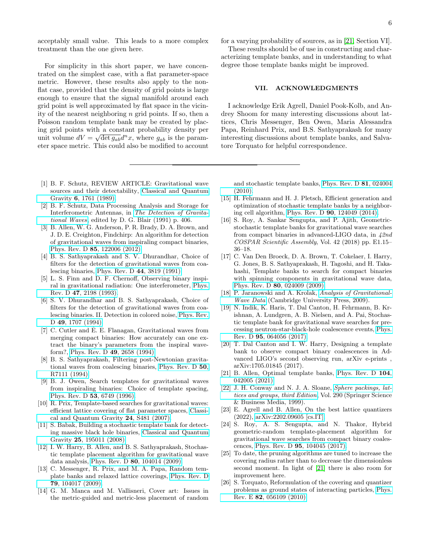acceptably small value. This leads to a more complex treatment than the one given here.

For simplicity in this short paper, we have concentrated on the simplest case, with a flat parameter-space metric. However, these results also apply to the nonflat case, provided that the density of grid points is large enough to ensure that the signal manifold around each grid point is well approximated by flat space in the vicinity of the nearest neighboring  $n$  grid points. If so, then a Poisson random template bank may be created by placing grid points with a constant probability density per unit volume  $dV = \sqrt{\det g_{ab}} d^n x$ , where  $g_{ab}$  is the parameter space metric. This could also be modified to account

- <span id="page-5-0"></span>[1] B. F. Schutz, REVIEW ARTICLE: Gravitational wave sources and their detectability, [Classical and Quantum](https://doi.org/10.1088/0264-9381/6/12/006) Gravity 6[, 1761 \(1989\).](https://doi.org/10.1088/0264-9381/6/12/006)
- [2] B. F. Schutz, Data Processing Analysis and Storage for Interferometric Antennas, in [The Detection of Gravita](https://doi.org/10.1017/CBO9780511600104)[tional Waves](https://doi.org/10.1017/CBO9780511600104), edited by D. G. Blair (1991) p. 406.
- <span id="page-5-1"></span>[3] B. Allen, W. G. Anderson, P. R. Brady, D. A. Brown, and J. D. E. Creighton, Findchirp: An algorithm for detection of gravitational waves from inspiraling compact binaries, Phys. Rev. D 85[, 122006 \(2012\).](https://doi.org/10.1103/PhysRevD.85.122006)
- <span id="page-5-2"></span>[4] B. S. Sathyaprakash and S. V. Dhurandhar, Choice of filters for the detection of gravitational waves from coalescing binaries, [Phys. Rev. D](https://doi.org/10.1103/PhysRevD.44.3819) 44, 3819 (1991).
- [5] L. S. Finn and D. F. Chernoff, Observing binary inspiral in gravitational radiation: One interferometer, [Phys.](https://doi.org/10.1103/PhysRevD.47.2198) Rev. D 47[, 2198 \(1993\).](https://doi.org/10.1103/PhysRevD.47.2198)
- [6] S. V. Dhurandhar and B. S. Sathyaprakash, Choice of filters for the detection of gravitational waves from coalescing binaries. II. Detection in colored noise, [Phys. Rev.](https://doi.org/10.1103/PhysRevD.49.1707) D 49[, 1707 \(1994\).](https://doi.org/10.1103/PhysRevD.49.1707)
- [7] C. Cutler and  $\hat{E}$ . E. Flanagan, Gravitational waves from merging compact binaries: How accurately can one extract the binary's parameters from the inspiral waveform?, [Phys. Rev. D](https://doi.org/10.1103/PhysRevD.49.2658) 49, 2658 (1994).
- [8] B. S. Sathyaprakash, Filtering post-Newtonian gravitational waves from coalescing binaries, [Phys. Rev. D](https://doi.org/10.1103/PhysRevD.50.R7111) 50, [R7111 \(1994\).](https://doi.org/10.1103/PhysRevD.50.R7111)
- <span id="page-5-3"></span>[9] B. J. Owen, Search templates for gravitational waves from inspiraling binaries: Choice of template spacing, [Phys. Rev. D](https://doi.org/10.1103/PhysRevD.53.6749) 53, 6749 (1996).
- <span id="page-5-4"></span>[10] R. Prix, Template-based searches for gravitational waves: efficient lattice covering of flat parameter spaces, [Classi](https://doi.org/10.1088/0264-9381/24/19/S11)[cal and Quantum Gravity](https://doi.org/10.1088/0264-9381/24/19/S11) 24, S481 (2007).
- [11] S. Babak, Building a stochastic template bank for detecting massive black hole binaries, [Classical and Quantum](https://doi.org/10.1088/0264-9381/25/19/195011) Gravity 25[, 195011 \(2008\).](https://doi.org/10.1088/0264-9381/25/19/195011)
- <span id="page-5-6"></span>[12] I. W. Harry, B. Allen, and B. S. Sathyaprakash, Stochastic template placement algorithm for gravitational wave data analysis, Phys. Rev. D 80[, 104014 \(2009\).](https://doi.org/10.1103/PhysRevD.80.104014)
- <span id="page-5-7"></span>[13] C. Messenger, R. Prix, and M. A. Papa, Random template banks and relaxed lattice coverings, [Phys. Rev. D](https://doi.org/10.1103/PhysRevD.79.104017) 79[, 104017 \(2009\).](https://doi.org/10.1103/PhysRevD.79.104017)
- <span id="page-5-14"></span>[14] G. M. Manca and M. Vallisneri, Cover art: Issues in the metric-guided and metric-less placement of random

for a varying probability of sources, as in [\[21,](#page-5-11) Section VI].

These results should be of use in constructing and characterizing template banks, and in understanding to what degree those template banks might be improved.

## VII. ACKNOWLEDGMENTS

I acknowledge Erik Agrell, Daniel Pook-Kolb, and Andrey Shoom for many interesting discussions about lattices, Chris Messenger, Ben Owen, Maria Alessandra Papa, Reinhard Prix, and B.S. Sathyaprakash for many interesting discussions about template banks, and Salvatore Torquato for helpful correspondence.

and stochastic template banks, [Phys. Rev. D](https://doi.org/10.1103/PhysRevD.81.024004) 81, 024004 [\(2010\).](https://doi.org/10.1103/PhysRevD.81.024004)

- <span id="page-5-8"></span>[15] H. Fehrmann and H. J. Pletsch, Efficient generation and optimization of stochastic template banks by a neighboring cell algorithm, Phys. Rev. D 90[, 124049 \(2014\).](https://doi.org/10.1103/PhysRevD.90.124049)
- <span id="page-5-5"></span>[16] S. Roy, A. Sankar Sengupta, and P. Ajith, Geometricstochastic template banks for gravitational wave searches from compact binaries in advanced-LIGO data, in 42nd COSPAR Scientific Assembly, Vol. 42 (2018) pp. E1.15– 36–18.
- <span id="page-5-9"></span>[17] C. Van Den Broeck, D. A. Brown, T. Cokelaer, I. Harry, G. Jones, B. S. Sathyaprakash, H. Tagoshi, and H. Takahashi, Template banks to search for compact binaries with spinning components in gravitational wave data, Phys. Rev. D 80[, 024009 \(2009\).](https://doi.org/10.1103/PhysRevD.80.024009)
- [18] P. Jaranowski and A. Krolak, [Analysis of Gravitational-](https://doi.org/10.1017/CBO9780511605482)[Wave Data](https://doi.org/10.1017/CBO9780511605482) (Cambridge University Press, 2009).
- [19] N. Indik, K. Haris, T. Dal Canton, H. Fehrmann, B. Krishnan, A. Lundgren, A. B. Nielsen, and A. Pai, Stochastic template bank for gravitational wave searches for precessing neutron-star-black-hole coalescence events, [Phys.](https://doi.org/10.1103/PhysRevD.95.064056) Rev. D 95[, 064056 \(2017\).](https://doi.org/10.1103/PhysRevD.95.064056)
- <span id="page-5-10"></span>[20] T. Dal Canton and I. W. Harry, Designing a template bank to observe compact binary coalescences in Advanced LIGO's second observing run, arXiv e-prints , arXiv:1705.01845 (2017).
- <span id="page-5-11"></span>[21] B. Allen, Optimal template banks, [Phys. Rev. D](https://doi.org/10.1103/PhysRevD.104.042005) 104, [042005 \(2021\).](https://doi.org/10.1103/PhysRevD.104.042005)
- <span id="page-5-12"></span>[22] J. H. Conway and N. J. A. Sloane, [Sphere packings, lat](https://doi.org/10.1007/978-1-4757-6568-7)[tices and groups, third Edition](https://doi.org/10.1007/978-1-4757-6568-7), Vol. 290 (Springer Science & Business Media, 1999).
- <span id="page-5-13"></span>[23] E. Agrell and B. Allen, On the best lattice quantizers (2022), [arXiv:2202.09605 \[cs.IT\].](https://arxiv.org/abs/2202.09605)
- <span id="page-5-15"></span>[24] S. Roy, A. S. Sengupta, and N. Thakor, Hybrid geometric-random template-placement algorithm for gravitational wave searches from compact binary coalescences, Phys. Rev. D 95[, 104045 \(2017\).](https://doi.org/10.1103/PhysRevD.95.104045)
- <span id="page-5-16"></span>[25] To date, the pruning algorithms are tuned to increase the covering radius rather than to decrease the dimensionless second moment. In light of [\[21\]](#page-5-11) there is also room for improvement here.
- <span id="page-5-17"></span>[26] S. Torquato, Reformulation of the covering and quantizer problems as ground states of interacting particles, [Phys.](https://doi.org/10.1103/PhysRevE.82.056109) Rev. E 82[, 056109 \(2010\).](https://doi.org/10.1103/PhysRevE.82.056109)